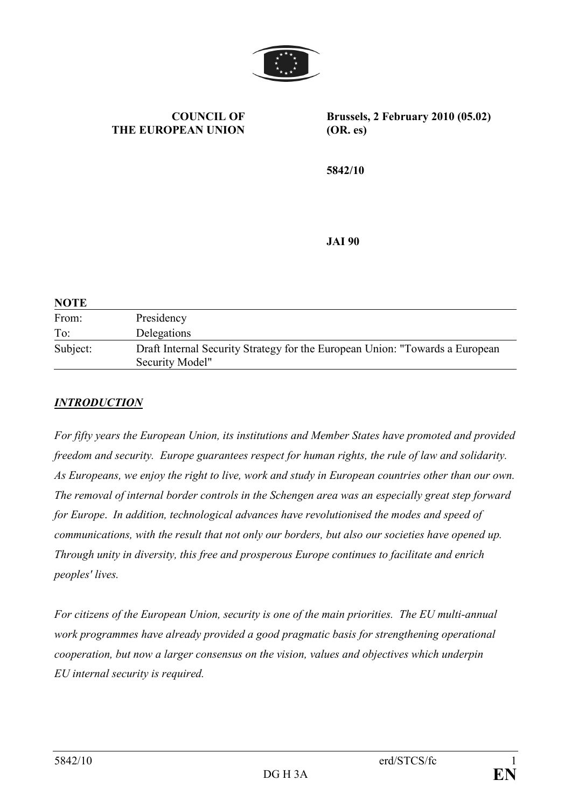

### COUNCIL OF THE EUROPEAN UNION

Brussels, 2 February 2010 (05.02) (OR. es)

5842/10

JAI 90

| <b>NOTE</b> |                                                                                                 |
|-------------|-------------------------------------------------------------------------------------------------|
| From:       | Presidency                                                                                      |
| To:         | Delegations                                                                                     |
| Subject:    | Draft Internal Security Strategy for the European Union: "Towards a European<br>Security Model" |

### **INTRODUCTION**

For fifty years the European Union, its institutions and Member States have promoted and provided freedom and security. Europe guarantees respect for human rights, the rule of law and solidarity. As Europeans, we enjoy the right to live, work and study in European countries other than our own. The removal of internal border controls in the Schengen area was an especially great step forward for Europe. In addition, technological advances have revolutionised the modes and speed of communications, with the result that not only our borders, but also our societies have opened up. Through unity in diversity, this free and prosperous Europe continues to facilitate and enrich peoples' lives.

For citizens of the European Union, security is one of the main priorities. The EU multi-annual work programmes have already provided a good pragmatic basis for strengthening operational cooperation, but now a larger consensus on the vision, values and objectives which underpin EU internal security is required.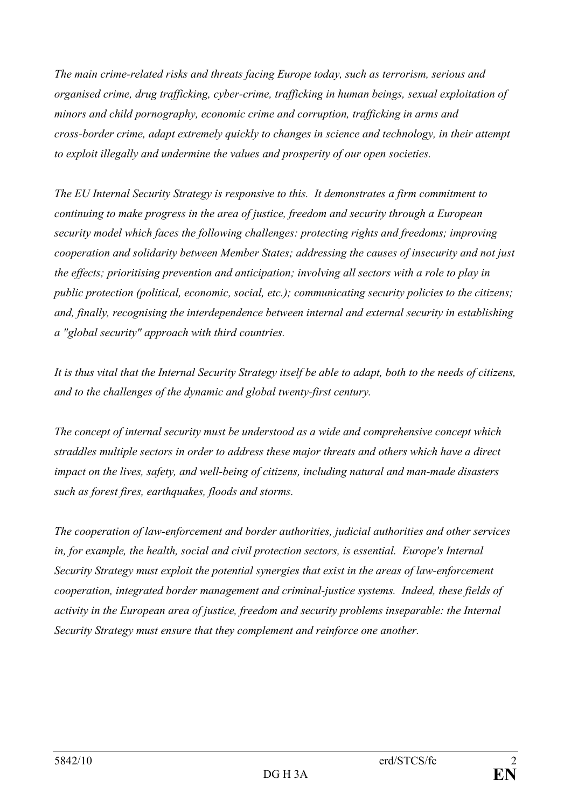The main crime-related risks and threats facing Europe today, such as terrorism, serious and organised crime, drug trafficking, cyber-crime, trafficking in human beings, sexual exploitation of minors and child pornography, economic crime and corruption, trafficking in arms and cross-border crime, adapt extremely quickly to changes in science and technology, in their attempt to exploit illegally and undermine the values and prosperity of our open societies.

The EU Internal Security Strategy is responsive to this. It demonstrates a firm commitment to continuing to make progress in the area of justice, freedom and security through a European security model which faces the following challenges: protecting rights and freedoms; improving cooperation and solidarity between Member States; addressing the causes of insecurity and not just the effects; prioritising prevention and anticipation; involving all sectors with a role to play in public protection (political, economic, social, etc.); communicating security policies to the citizens; and, finally, recognising the interdependence between internal and external security in establishing a "global security" approach with third countries.

It is thus vital that the Internal Security Strategy itself be able to adapt, both to the needs of citizens, and to the challenges of the dynamic and global twenty-first century.

The concept of internal security must be understood as a wide and comprehensive concept which straddles multiple sectors in order to address these major threats and others which have a direct impact on the lives, safety, and well-being of citizens, including natural and man-made disasters such as forest fires, earthquakes, floods and storms.

The cooperation of law-enforcement and border authorities, judicial authorities and other services in, for example, the health, social and civil protection sectors, is essential. Europe's Internal Security Strategy must exploit the potential synergies that exist in the areas of law-enforcement cooperation, integrated border management and criminal-justice systems. Indeed, these fields of activity in the European area of justice, freedom and security problems inseparable: the Internal Security Strategy must ensure that they complement and reinforce one another.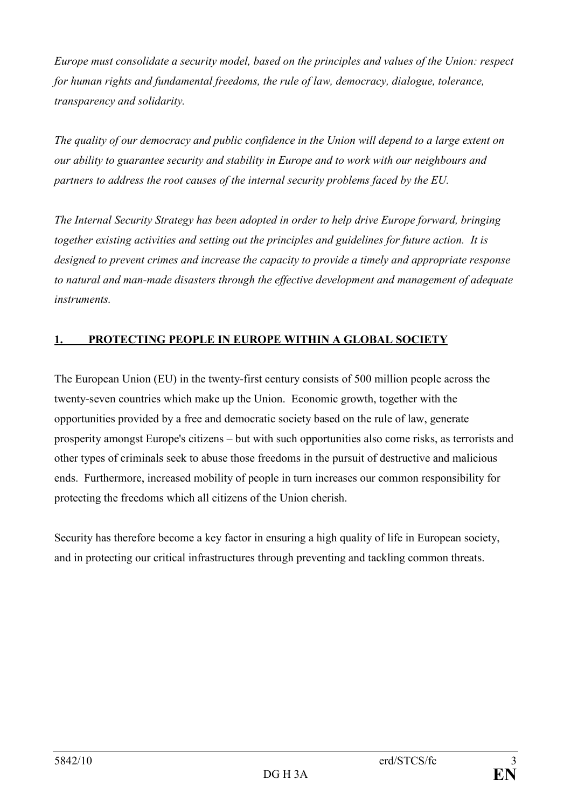Europe must consolidate a security model, based on the principles and values of the Union: respect for human rights and fundamental freedoms, the rule of law, democracy, dialogue, tolerance, transparency and solidarity.

The quality of our democracy and public confidence in the Union will depend to a large extent on our ability to guarantee security and stability in Europe and to work with our neighbours and partners to address the root causes of the internal security problems faced by the EU.

The Internal Security Strategy has been adopted in order to help drive Europe forward, bringing together existing activities and setting out the principles and guidelines for future action. It is designed to prevent crimes and increase the capacity to provide a timely and appropriate response to natural and man-made disasters through the effective development and management of adequate instruments.

# 1. PROTECTING PEOPLE IN EUROPE WITHIN A GLOBAL SOCIETY

The European Union (EU) in the twenty-first century consists of 500 million people across the twenty-seven countries which make up the Union. Economic growth, together with the opportunities provided by a free and democratic society based on the rule of law, generate prosperity amongst Europe's citizens – but with such opportunities also come risks, as terrorists and other types of criminals seek to abuse those freedoms in the pursuit of destructive and malicious ends. Furthermore, increased mobility of people in turn increases our common responsibility for protecting the freedoms which all citizens of the Union cherish.

Security has therefore become a key factor in ensuring a high quality of life in European society, and in protecting our critical infrastructures through preventing and tackling common threats.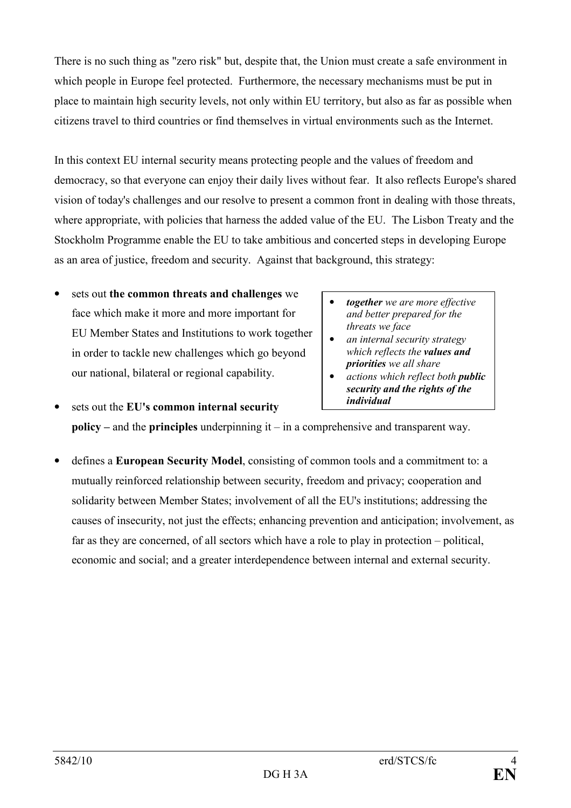There is no such thing as "zero risk" but, despite that, the Union must create a safe environment in which people in Europe feel protected. Furthermore, the necessary mechanisms must be put in place to maintain high security levels, not only within EU territory, but also as far as possible when citizens travel to third countries or find themselves in virtual environments such as the Internet.

In this context EU internal security means protecting people and the values of freedom and democracy, so that everyone can enjoy their daily lives without fear. It also reflects Europe's shared vision of today's challenges and our resolve to present a common front in dealing with those threats, where appropriate, with policies that harness the added value of the EU. The Lisbon Treaty and the Stockholm Programme enable the EU to take ambitious and concerted steps in developing Europe as an area of justice, freedom and security. Against that background, this strategy:

- sets out the common threats and challenges we face which make it more and more important for EU Member States and Institutions to work together in order to tackle new challenges which go beyond our national, bilateral or regional capability.
- together we are more effective and better prepared for the threats we face
- an internal security strategy which reflects the **values** and priorities we all share
- actions which reflect both **public** security and the rights of the individual
- sets out the EU's common internal security policy – and the principles underpinning  $it - in a$  comprehensive and transparent way.
- defines a European Security Model, consisting of common tools and a commitment to: a mutually reinforced relationship between security, freedom and privacy; cooperation and solidarity between Member States; involvement of all the EU's institutions; addressing the causes of insecurity, not just the effects; enhancing prevention and anticipation; involvement, as far as they are concerned, of all sectors which have a role to play in protection – political, economic and social; and a greater interdependence between internal and external security.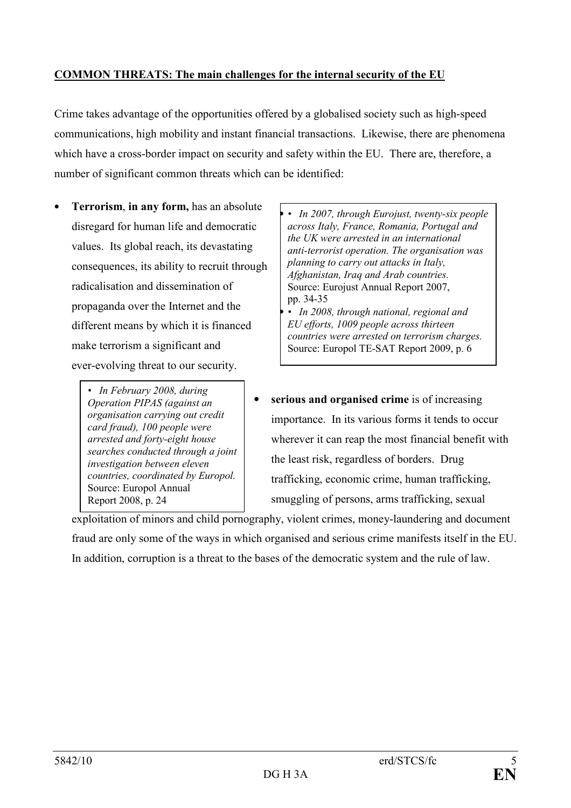# COMMON THREATS: The main challenges for the internal security of the EU

Crime takes advantage of the opportunities offered by a globalised society such as high-speed communications, high mobility and instant financial transactions. Likewise, there are phenomena which have a cross-border impact on security and safety within the EU. There are, therefore, a number of significant common threats which can be identified:

- Terrorism, in any form, has an absolute disregard for human life and democratic values. Its global reach, its devastating consequences, its ability to recruit through radicalisation and dissemination of propaganda over the Internet and the different means by which it is financed make terrorism a significant and ever-evolving threat to our security.
	- In February 2008, during Operation PIPAS (against an organisation carrying out credit card fraud), 100 people were arrested and forty-eight house searches conducted through a joint investigation between eleven countries, coordinated by Europol. Source: Europol Annual Report 2008, p. 24
- In 2007, through Eurojust, twenty-six people across Italy, France, Romania, Portugal and the UK were arrested in an international anti-terrorist operation. The organisation was planning to carry out attacks in Italy, Afghanistan, Iraq and Arab countries. Source: Eurojust Annual Report 2007, pp. 34-35 • In 2008, through national, regional and
- EU efforts, 1009 people across thirteen countries were arrested on terrorism charges. Source: Europol TE-SAT Report 2009, p. 6
- serious and organised crime is of increasing importance. In its various forms it tends to occur wherever it can reap the most financial benefit with the least risk, regardless of borders. Drug trafficking, economic crime, human trafficking, smuggling of persons, arms trafficking, sexual

exploitation of minors and child pornography, violent crimes, money-laundering and document fraud are only some of the ways in which organised and serious crime manifests itself in the EU. In addition, corruption is a threat to the bases of the democratic system and the rule of law.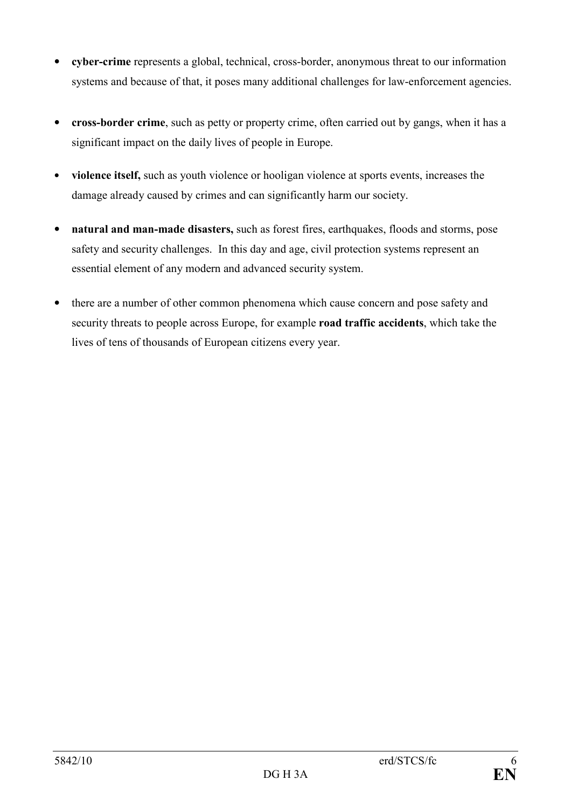- cyber-crime represents a global, technical, cross-border, anonymous threat to our information systems and because of that, it poses many additional challenges for law-enforcement agencies.
- cross-border crime, such as petty or property crime, often carried out by gangs, when it has a significant impact on the daily lives of people in Europe.
- violence itself, such as youth violence or hooligan violence at sports events, increases the damage already caused by crimes and can significantly harm our society.
- natural and man-made disasters, such as forest fires, earthquakes, floods and storms, pose safety and security challenges. In this day and age, civil protection systems represent an essential element of any modern and advanced security system.
- there are a number of other common phenomena which cause concern and pose safety and security threats to people across Europe, for example road traffic accidents, which take the lives of tens of thousands of European citizens every year.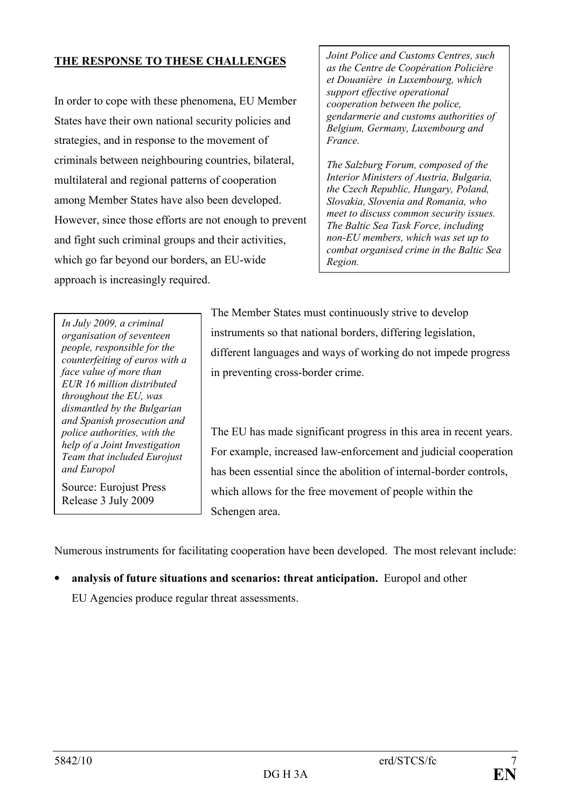# THE RESPONSE TO THESE CHALLENGES

In order to cope with these phenomena, EU Member States have their own national security policies and strategies, and in response to the movement of criminals between neighbouring countries, bilateral, multilateral and regional patterns of cooperation among Member States have also been developed. However, since those efforts are not enough to prevent and fight such criminal groups and their activities, which go far beyond our borders, an EU-wide approach is increasingly required.

Joint Police and Customs Centres, such as the Centre de Coopération Policière et Douanière in Luxembourg, which support effective operational cooperation between the police, gendarmerie and customs authorities of Belgium, Germany, Luxembourg and France.

The Salzburg Forum, composed of the Interior Ministers of Austria, Bulgaria, the Czech Republic, Hungary, Poland, Slovakia, Slovenia and Romania, who meet to discuss common security issues. The Baltic Sea Task Force, including non-EU members, which was set up to combat organised crime in the Baltic Sea Region.

In July 2009, a criminal organisation of seventeen people, responsible for the counterfeiting of euros with a face value of more than EUR 16 million distributed throughout the EU, was dismantled by the Bulgarian and Spanish prosecution and police authorities, with the help of a Joint Investigation Team that included Eurojust and Europol

Source: Eurojust Press Release 3 July 2009

The Member States must continuously strive to develop instruments so that national borders, differing legislation, different languages and ways of working do not impede progress in preventing cross-border crime.

The EU has made significant progress in this area in recent years. For example, increased law-enforcement and judicial cooperation has been essential since the abolition of internal-border controls, which allows for the free movement of people within the Schengen area.

Numerous instruments for facilitating cooperation have been developed. The most relevant include:

• analysis of future situations and scenarios: threat anticipation. Europol and other EU Agencies produce regular threat assessments.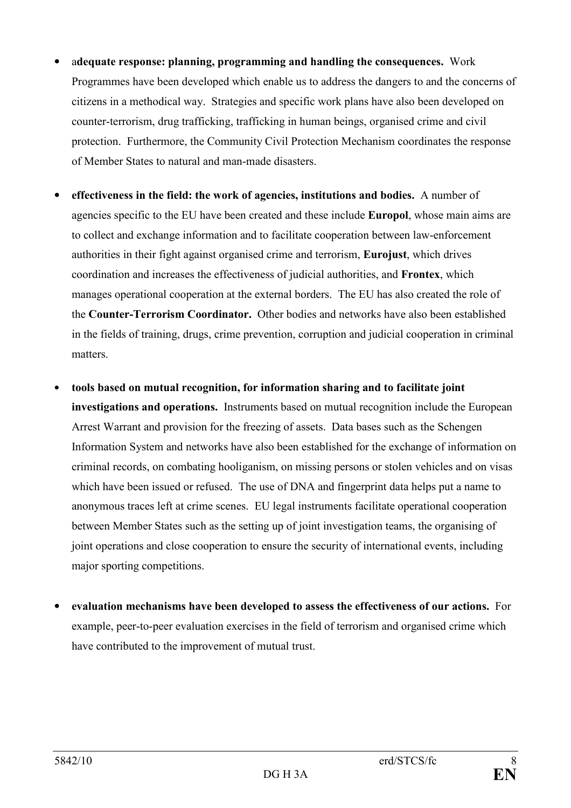- adequate response: planning, programming and handling the consequences. Work Programmes have been developed which enable us to address the dangers to and the concerns of citizens in a methodical way. Strategies and specific work plans have also been developed on counter-terrorism, drug trafficking, trafficking in human beings, organised crime and civil protection. Furthermore, the Community Civil Protection Mechanism coordinates the response of Member States to natural and man-made disasters.
- effectiveness in the field: the work of agencies, institutions and bodies. A number of agencies specific to the EU have been created and these include Europol, whose main aims are to collect and exchange information and to facilitate cooperation between law-enforcement authorities in their fight against organised crime and terrorism, Eurojust, which drives coordination and increases the effectiveness of judicial authorities, and Frontex, which manages operational cooperation at the external borders. The EU has also created the role of the Counter-Terrorism Coordinator. Other bodies and networks have also been established in the fields of training, drugs, crime prevention, corruption and judicial cooperation in criminal matters.
- tools based on mutual recognition, for information sharing and to facilitate joint investigations and operations. Instruments based on mutual recognition include the European Arrest Warrant and provision for the freezing of assets. Data bases such as the Schengen Information System and networks have also been established for the exchange of information on criminal records, on combating hooliganism, on missing persons or stolen vehicles and on visas which have been issued or refused. The use of DNA and fingerprint data helps put a name to anonymous traces left at crime scenes. EU legal instruments facilitate operational cooperation between Member States such as the setting up of joint investigation teams, the organising of joint operations and close cooperation to ensure the security of international events, including major sporting competitions.
- evaluation mechanisms have been developed to assess the effectiveness of our actions. For example, peer-to-peer evaluation exercises in the field of terrorism and organised crime which have contributed to the improvement of mutual trust.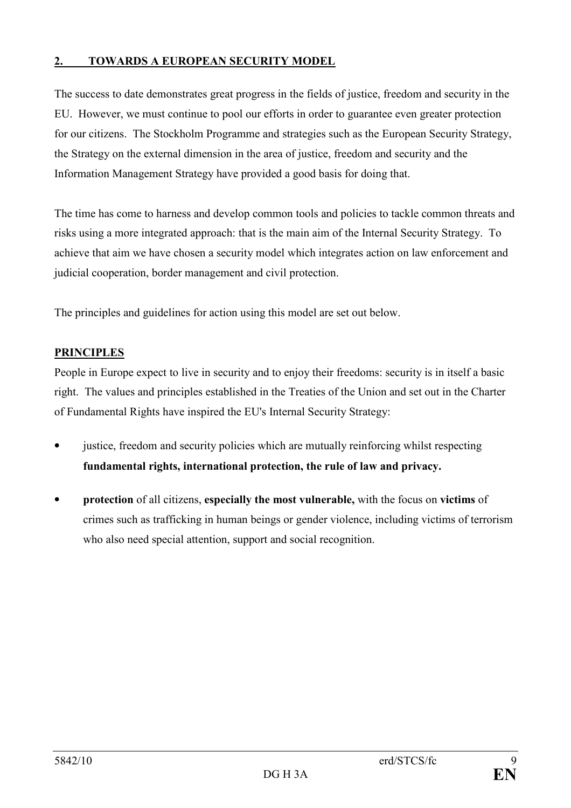# 2. TOWARDS A EUROPEAN SECURITY MODEL

The success to date demonstrates great progress in the fields of justice, freedom and security in the EU. However, we must continue to pool our efforts in order to guarantee even greater protection for our citizens. The Stockholm Programme and strategies such as the European Security Strategy, the Strategy on the external dimension in the area of justice, freedom and security and the Information Management Strategy have provided a good basis for doing that.

The time has come to harness and develop common tools and policies to tackle common threats and risks using a more integrated approach: that is the main aim of the Internal Security Strategy. To achieve that aim we have chosen a security model which integrates action on law enforcement and judicial cooperation, border management and civil protection.

The principles and guidelines for action using this model are set out below.

# PRINCIPLES

People in Europe expect to live in security and to enjoy their freedoms: security is in itself a basic right. The values and principles established in the Treaties of the Union and set out in the Charter of Fundamental Rights have inspired the EU's Internal Security Strategy:

- justice, freedom and security policies which are mutually reinforcing whilst respecting fundamental rights, international protection, the rule of law and privacy.
- protection of all citizens, especially the most vulnerable, with the focus on victims of crimes such as trafficking in human beings or gender violence, including victims of terrorism who also need special attention, support and social recognition.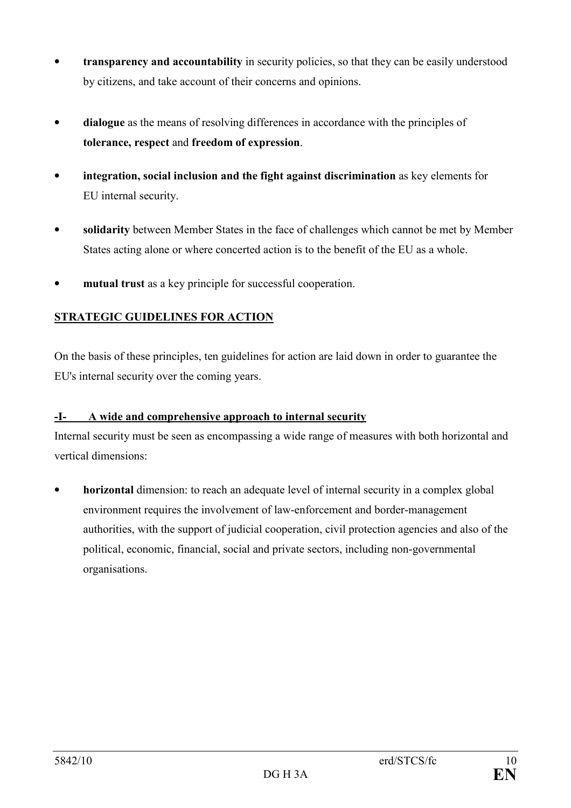- transparency and accountability in security policies, so that they can be easily understood by citizens, and take account of their concerns and opinions.
- dialogue as the means of resolving differences in accordance with the principles of tolerance, respect and freedom of expression.
- integration, social inclusion and the fight against discrimination as key elements for EU internal security.
- solidarity between Member States in the face of challenges which cannot be met by Member States acting alone or where concerted action is to the benefit of the EU as a whole.
- mutual trust as a key principle for successful cooperation.

# STRATEGIC GUIDELINES FOR ACTION

On the basis of these principles, ten guidelines for action are laid down in order to guarantee the EU's internal security over the coming years.

# -I- A wide and comprehensive approach to internal security

Internal security must be seen as encompassing a wide range of measures with both horizontal and vertical dimensions:

• horizontal dimension: to reach an adequate level of internal security in a complex global environment requires the involvement of law-enforcement and border-management authorities, with the support of judicial cooperation, civil protection agencies and also of the political, economic, financial, social and private sectors, including non-governmental organisations.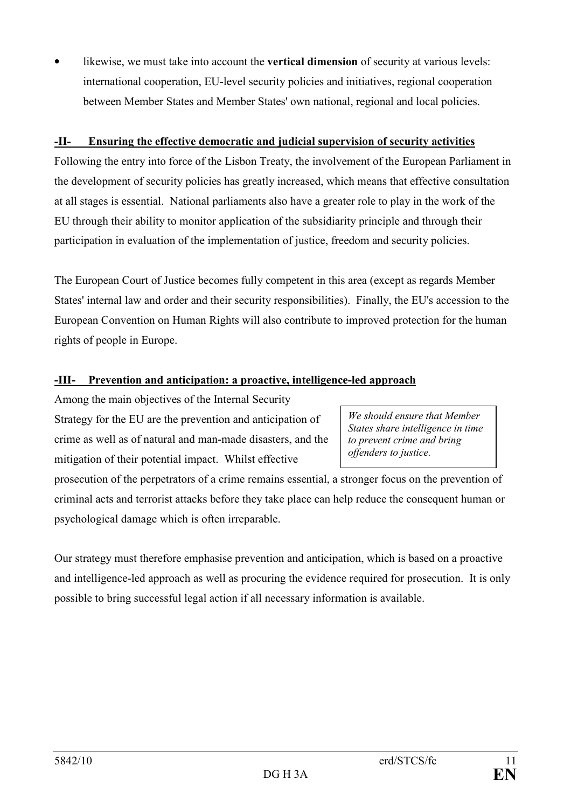likewise, we must take into account the **vertical dimension** of security at various levels: international cooperation, EU-level security policies and initiatives, regional cooperation between Member States and Member States' own national, regional and local policies.

# -II- Ensuring the effective democratic and judicial supervision of security activities

Following the entry into force of the Lisbon Treaty, the involvement of the European Parliament in the development of security policies has greatly increased, which means that effective consultation at all stages is essential. National parliaments also have a greater role to play in the work of the EU through their ability to monitor application of the subsidiarity principle and through their participation in evaluation of the implementation of justice, freedom and security policies.

The European Court of Justice becomes fully competent in this area (except as regards Member States' internal law and order and their security responsibilities). Finally, the EU's accession to the European Convention on Human Rights will also contribute to improved protection for the human rights of people in Europe.

### -III- Prevention and anticipation: a proactive, intelligence-led approach

Among the main objectives of the Internal Security Strategy for the EU are the prevention and anticipation of crime as well as of natural and man-made disasters, and the mitigation of their potential impact. Whilst effective

prosecution of the perpetrators of a crime remains essential, a stronger focus on the prevention of criminal acts and terrorist attacks before they take place can help reduce the consequent human or psychological damage which is often irreparable.

Our strategy must therefore emphasise prevention and anticipation, which is based on a proactive and intelligence-led approach as well as procuring the evidence required for prosecution. It is only possible to bring successful legal action if all necessary information is available.

We should ensure that Member States share intelligence in time to prevent crime and bring offenders to justice.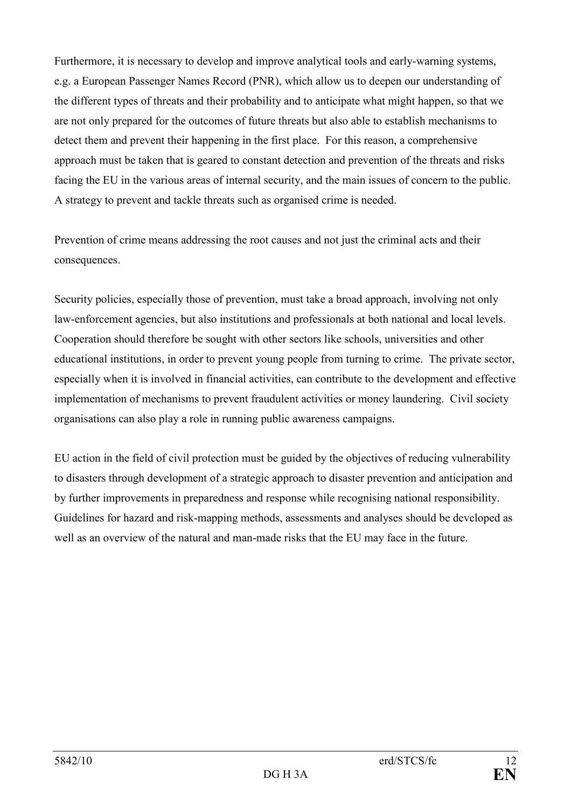Furthermore, it is necessary to develop and improve analytical tools and early-warning systems, e.g. a European Passenger Names Record (PNR), which allow us to deepen our understanding of the different types of threats and their probability and to anticipate what might happen, so that we are not only prepared for the outcomes of future threats but also able to establish mechanisms to detect them and prevent their happening in the first place. For this reason, a comprehensive approach must be taken that is geared to constant detection and prevention of the threats and risks facing the EU in the various areas of internal security, and the main issues of concern to the public. A strategy to prevent and tackle threats such as organised crime is needed.

Prevention of crime means addressing the root causes and not just the criminal acts and their consequences.

Security policies, especially those of prevention, must take a broad approach, involving not only law-enforcement agencies, but also institutions and professionals at both national and local levels. Cooperation should therefore be sought with other sectors like schools, universities and other educational institutions, in order to prevent young people from turning to crime. The private sector, especially when it is involved in financial activities, can contribute to the development and effective implementation of mechanisms to prevent fraudulent activities or money laundering. Civil society organisations can also play a role in running public awareness campaigns.

EU action in the field of civil protection must be guided by the objectives of reducing vulnerability to disasters through development of a strategic approach to disaster prevention and anticipation and by further improvements in preparedness and response while recognising national responsibility. Guidelines for hazard and risk-mapping methods, assessments and analyses should be developed as well as an overview of the natural and man-made risks that the EU may face in the future.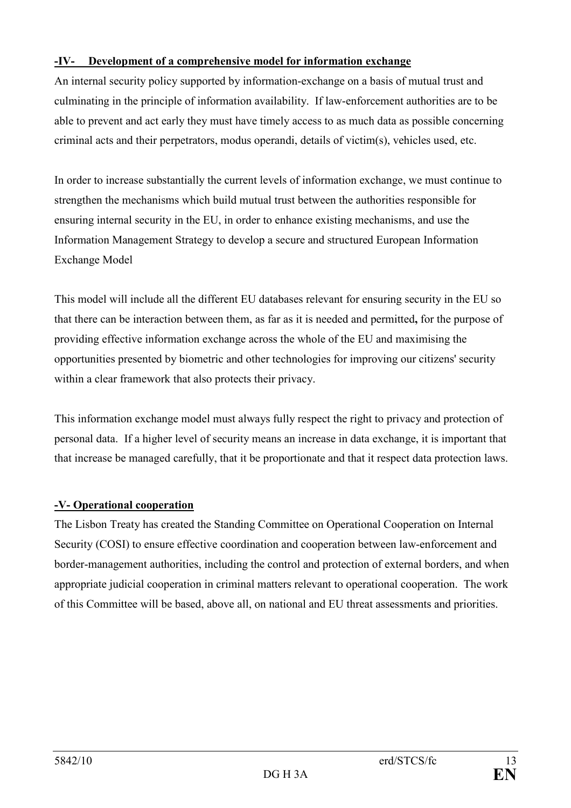# -IV- Development of a comprehensive model for information exchange

An internal security policy supported by information-exchange on a basis of mutual trust and culminating in the principle of information availability. If law-enforcement authorities are to be able to prevent and act early they must have timely access to as much data as possible concerning criminal acts and their perpetrators, modus operandi, details of victim(s), vehicles used, etc.

In order to increase substantially the current levels of information exchange, we must continue to strengthen the mechanisms which build mutual trust between the authorities responsible for ensuring internal security in the EU, in order to enhance existing mechanisms, and use the Information Management Strategy to develop a secure and structured European Information Exchange Model

This model will include all the different EU databases relevant for ensuring security in the EU so that there can be interaction between them, as far as it is needed and permitted, for the purpose of providing effective information exchange across the whole of the EU and maximising the opportunities presented by biometric and other technologies for improving our citizens' security within a clear framework that also protects their privacy.

This information exchange model must always fully respect the right to privacy and protection of personal data. If a higher level of security means an increase in data exchange, it is important that that increase be managed carefully, that it be proportionate and that it respect data protection laws.

# -V- Operational cooperation

The Lisbon Treaty has created the Standing Committee on Operational Cooperation on Internal Security (COSI) to ensure effective coordination and cooperation between law-enforcement and border-management authorities, including the control and protection of external borders, and when appropriate judicial cooperation in criminal matters relevant to operational cooperation. The work of this Committee will be based, above all, on national and EU threat assessments and priorities.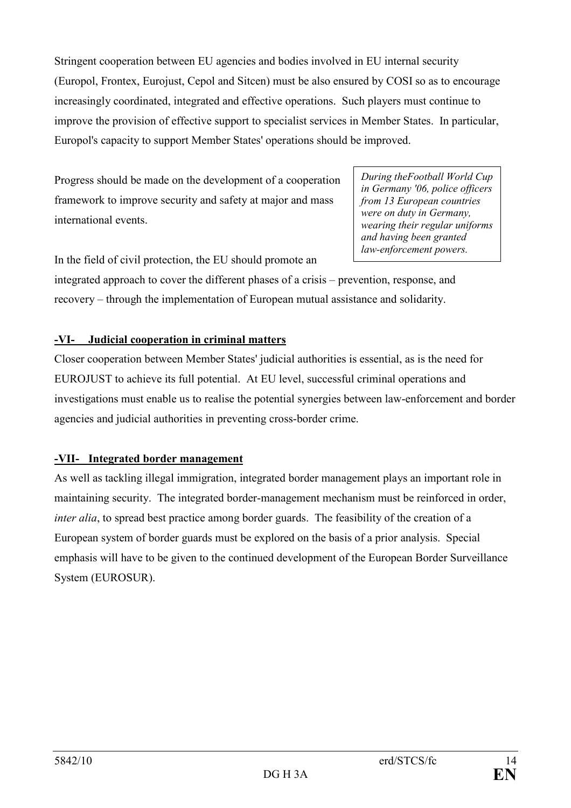Stringent cooperation between EU agencies and bodies involved in EU internal security (Europol, Frontex, Eurojust, Cepol and Sitcen) must be also ensured by COSI so as to encourage increasingly coordinated, integrated and effective operations. Such players must continue to improve the provision of effective support to specialist services in Member States. In particular, Europol's capacity to support Member States' operations should be improved.

Progress should be made on the development of a cooperation framework to improve security and safety at major and mass international events.

In the field of civil protection, the EU should promote an

During theFootball World Cup in Germany '06, police officers from 13 European countries were on duty in Germany, wearing their regular uniforms and having been granted law-enforcement powers.

integrated approach to cover the different phases of a crisis – prevention, response, and recovery – through the implementation of European mutual assistance and solidarity.

# -VI- Judicial cooperation in criminal matters

Closer cooperation between Member States' judicial authorities is essential, as is the need for EUROJUST to achieve its full potential. At EU level, successful criminal operations and investigations must enable us to realise the potential synergies between law-enforcement and border agencies and judicial authorities in preventing cross-border crime.

# -VII- Integrated border management

As well as tackling illegal immigration, integrated border management plays an important role in maintaining security. The integrated border-management mechanism must be reinforced in order, inter alia, to spread best practice among border guards. The feasibility of the creation of a European system of border guards must be explored on the basis of a prior analysis. Special emphasis will have to be given to the continued development of the European Border Surveillance System (EUROSUR).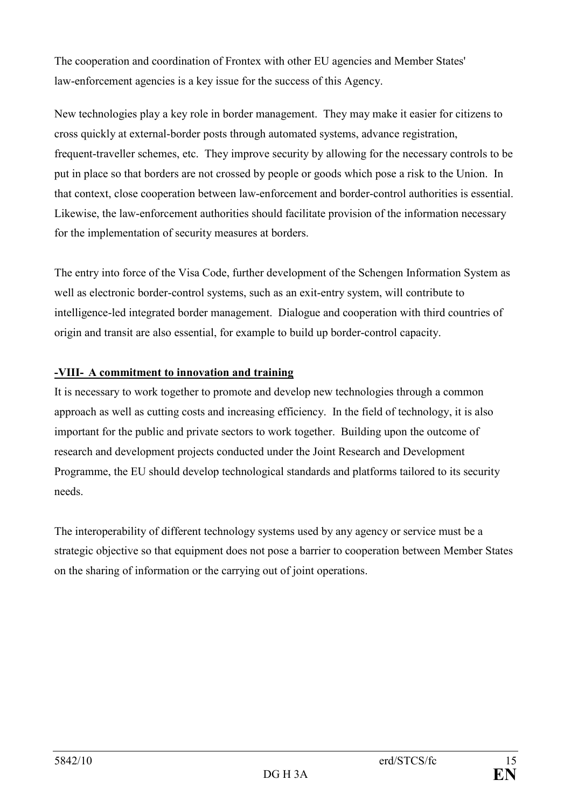The cooperation and coordination of Frontex with other EU agencies and Member States' law-enforcement agencies is a key issue for the success of this Agency.

New technologies play a key role in border management. They may make it easier for citizens to cross quickly at external-border posts through automated systems, advance registration, frequent-traveller schemes, etc. They improve security by allowing for the necessary controls to be put in place so that borders are not crossed by people or goods which pose a risk to the Union. In that context, close cooperation between law-enforcement and border-control authorities is essential. Likewise, the law-enforcement authorities should facilitate provision of the information necessary for the implementation of security measures at borders.

The entry into force of the Visa Code, further development of the Schengen Information System as well as electronic border-control systems, such as an exit-entry system, will contribute to intelligence-led integrated border management. Dialogue and cooperation with third countries of origin and transit are also essential, for example to build up border-control capacity.

# -VIII- A commitment to innovation and training

It is necessary to work together to promote and develop new technologies through a common approach as well as cutting costs and increasing efficiency. In the field of technology, it is also important for the public and private sectors to work together. Building upon the outcome of research and development projects conducted under the Joint Research and Development Programme, the EU should develop technological standards and platforms tailored to its security needs.

The interoperability of different technology systems used by any agency or service must be a strategic objective so that equipment does not pose a barrier to cooperation between Member States on the sharing of information or the carrying out of joint operations.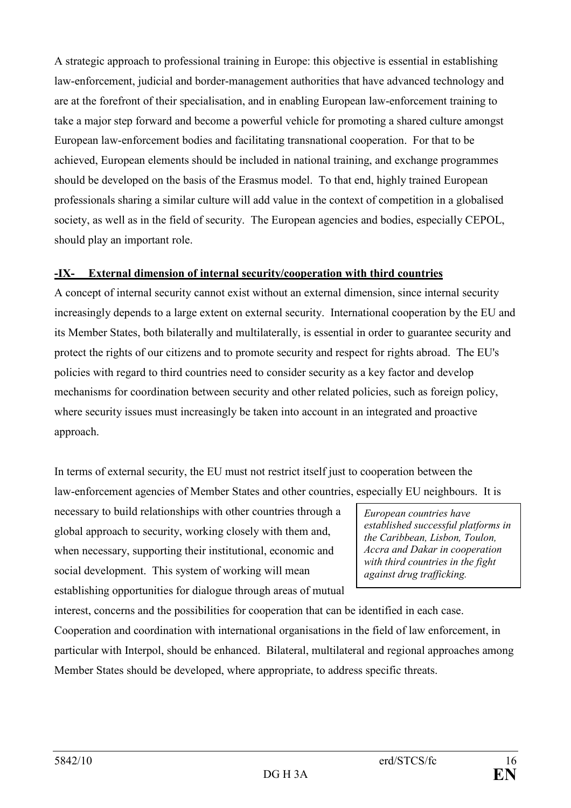A strategic approach to professional training in Europe: this objective is essential in establishing law-enforcement, judicial and border-management authorities that have advanced technology and are at the forefront of their specialisation, and in enabling European law-enforcement training to take a major step forward and become a powerful vehicle for promoting a shared culture amongst European law-enforcement bodies and facilitating transnational cooperation. For that to be achieved, European elements should be included in national training, and exchange programmes should be developed on the basis of the Erasmus model. To that end, highly trained European professionals sharing a similar culture will add value in the context of competition in a globalised society, as well as in the field of security. The European agencies and bodies, especially CEPOL, should play an important role.

# -IX- External dimension of internal security/cooperation with third countries

A concept of internal security cannot exist without an external dimension, since internal security increasingly depends to a large extent on external security. International cooperation by the EU and its Member States, both bilaterally and multilaterally, is essential in order to guarantee security and protect the rights of our citizens and to promote security and respect for rights abroad. The EU's policies with regard to third countries need to consider security as a key factor and develop mechanisms for coordination between security and other related policies, such as foreign policy, where security issues must increasingly be taken into account in an integrated and proactive approach.

In terms of external security, the EU must not restrict itself just to cooperation between the law-enforcement agencies of Member States and other countries, especially EU neighbours. It is

necessary to build relationships with other countries through a global approach to security, working closely with them and, when necessary, supporting their institutional, economic and social development. This system of working will mean establishing opportunities for dialogue through areas of mutual

European countries have established successful platforms in the Caribbean, Lisbon, Toulon, Accra and Dakar in cooperation with third countries in the fight against drug trafficking.

interest, concerns and the possibilities for cooperation that can be identified in each case. Cooperation and coordination with international organisations in the field of law enforcement, in particular with Interpol, should be enhanced. Bilateral, multilateral and regional approaches among Member States should be developed, where appropriate, to address specific threats.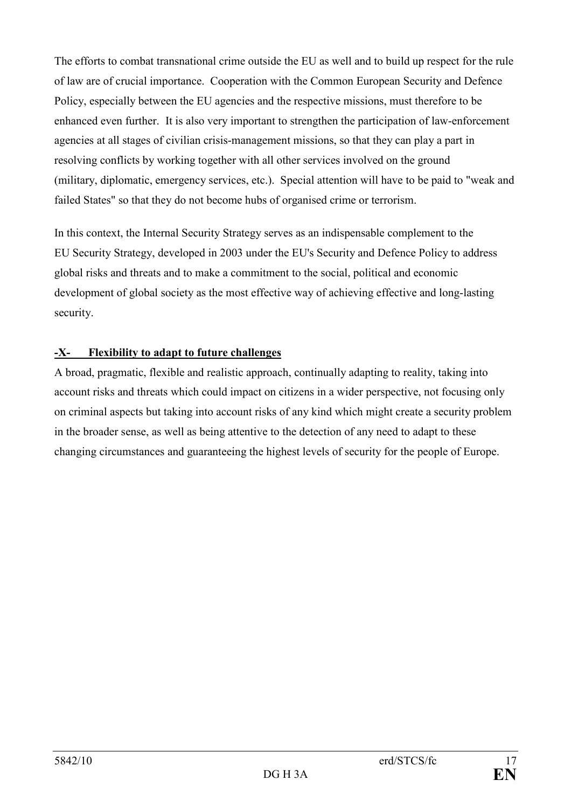The efforts to combat transnational crime outside the EU as well and to build up respect for the rule of law are of crucial importance. Cooperation with the Common European Security and Defence Policy, especially between the EU agencies and the respective missions, must therefore to be enhanced even further. It is also very important to strengthen the participation of law-enforcement agencies at all stages of civilian crisis-management missions, so that they can play a part in resolving conflicts by working together with all other services involved on the ground (military, diplomatic, emergency services, etc.). Special attention will have to be paid to "weak and failed States" so that they do not become hubs of organised crime or terrorism.

In this context, the Internal Security Strategy serves as an indispensable complement to the EU Security Strategy, developed in 2003 under the EU's Security and Defence Policy to address global risks and threats and to make a commitment to the social, political and economic development of global society as the most effective way of achieving effective and long-lasting security.

# -X- Flexibility to adapt to future challenges

A broad, pragmatic, flexible and realistic approach, continually adapting to reality, taking into account risks and threats which could impact on citizens in a wider perspective, not focusing only on criminal aspects but taking into account risks of any kind which might create a security problem in the broader sense, as well as being attentive to the detection of any need to adapt to these changing circumstances and guaranteeing the highest levels of security for the people of Europe.